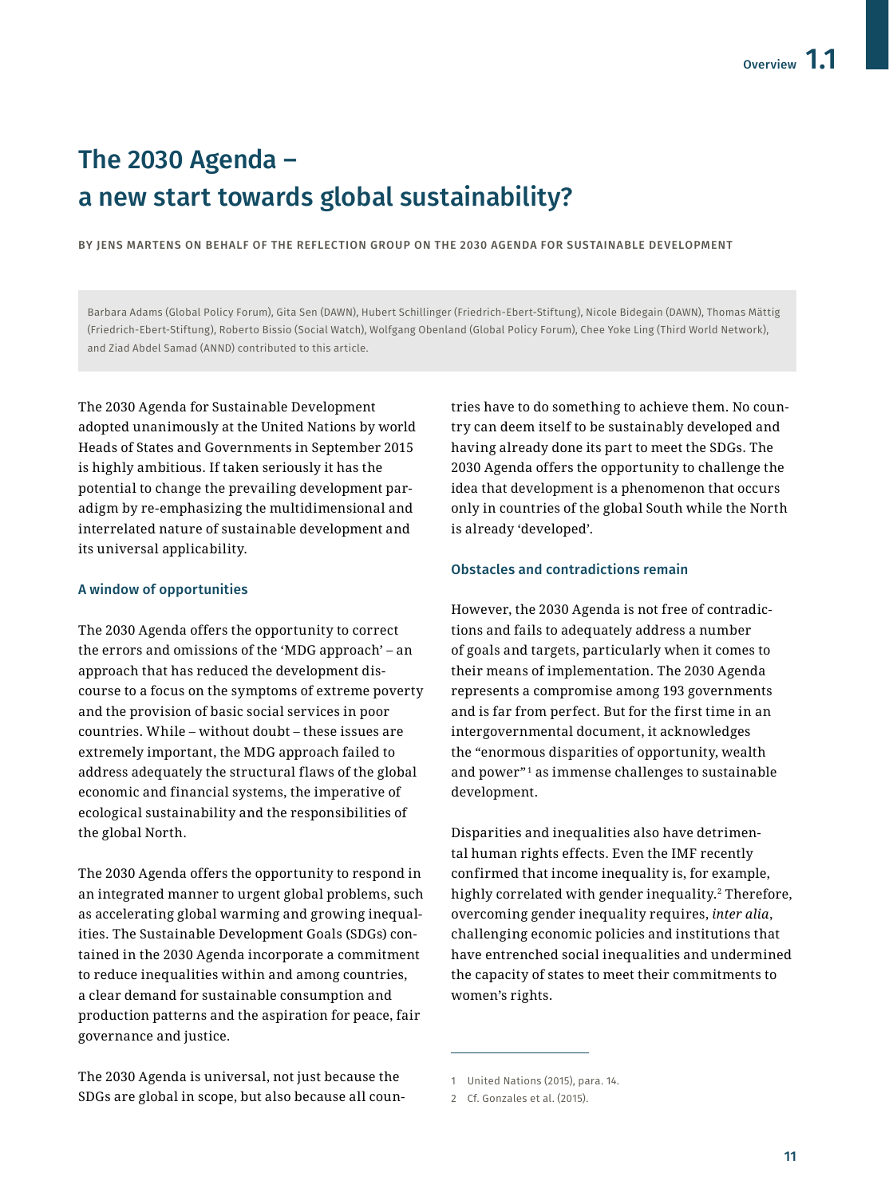# The 2030 Agenda – a new start towards global sustainability?

BY JENS MARTENS ON BEHALF OF THE REFLECTION GROUP ON THE 2030 AGENDA FOR SUSTAINABLE DEVELOPMENT

Barbara Adams (Global Policy Forum), Gita Sen (DAWN), Hubert Schillinger (Friedrich-Ebert-Stiftung), Nicole Bidegain (DAWN), Thomas Mättig (Friedrich-Ebert-Stiftung), Roberto Bissio (Social Watch), Wolfgang Obenland (Global Policy Forum), Chee Yoke Ling (Third World Network), and Ziad Abdel Samad (ANND) contributed to this article.

The 2030 Agenda for Sustainable Development adopted unanimously at the United Nations by world Heads of States and Governments in September 2015 is highly ambitious. If taken seriously it has the potential to change the prevailing development paradigm by re-emphasizing the multidimensional and interrelated nature of sustainable development and its universal applicability.

### A window of opportunities

The 2030 Agenda offers the opportunity to correct the errors and omissions of the 'MDG approach' – an approach that has reduced the development discourse to a focus on the symptoms of extreme poverty and the provision of basic social services in poor countries. While – without doubt – these issues are extremely important, the MDG approach failed to address adequately the structural flaws of the global economic and financial systems, the imperative of ecological sustainability and the responsibilities of the global North.

The 2030 Agenda offers the opportunity to respond in an integrated manner to urgent global problems, such as accelerating global warming and growing inequalities. The Sustainable Development Goals (SDGs) contained in the 2030 Agenda incorporate a commitment to reduce inequalities within and among countries, a clear demand for sustainable consumption and production patterns and the aspiration for peace, fair governance and justice.

The 2030 Agenda is universal, not just because the SDGs are global in scope, but also because all countries have to do something to achieve them. No country can deem itself to be sustainably developed and having already done its part to meet the SDGs. The 2030 Agenda offers the opportunity to challenge the idea that development is a phenomenon that occurs only in countries of the global South while the North is already 'developed'.

### Obstacles and contradictions remain

However, the 2030 Agenda is not free of contradictions and fails to adequately address a number of goals and targets, particularly when it comes to their means of implementation. The 2030 Agenda represents a compromise among 193 governments and is far from perfect. But for the first time in an intergovernmental document, it acknowledges the "enormous disparities of opportunity, wealth and power" <sup>1</sup> as immense challenges to sustainable development.

Disparities and inequalities also have detrimental human rights effects. Even the IMF recently confirmed that income inequality is, for example, highly correlated with gender inequality.2 Therefore, overcoming gender inequality requires, *inter alia*, challenging economic policies and institutions that have entrenched social inequalities and undermined the capacity of states to meet their commitments to women's rights.

<sup>1</sup> United Nations (2015), para. 14.

<sup>2</sup> Cf. Gonzales et al. (2015).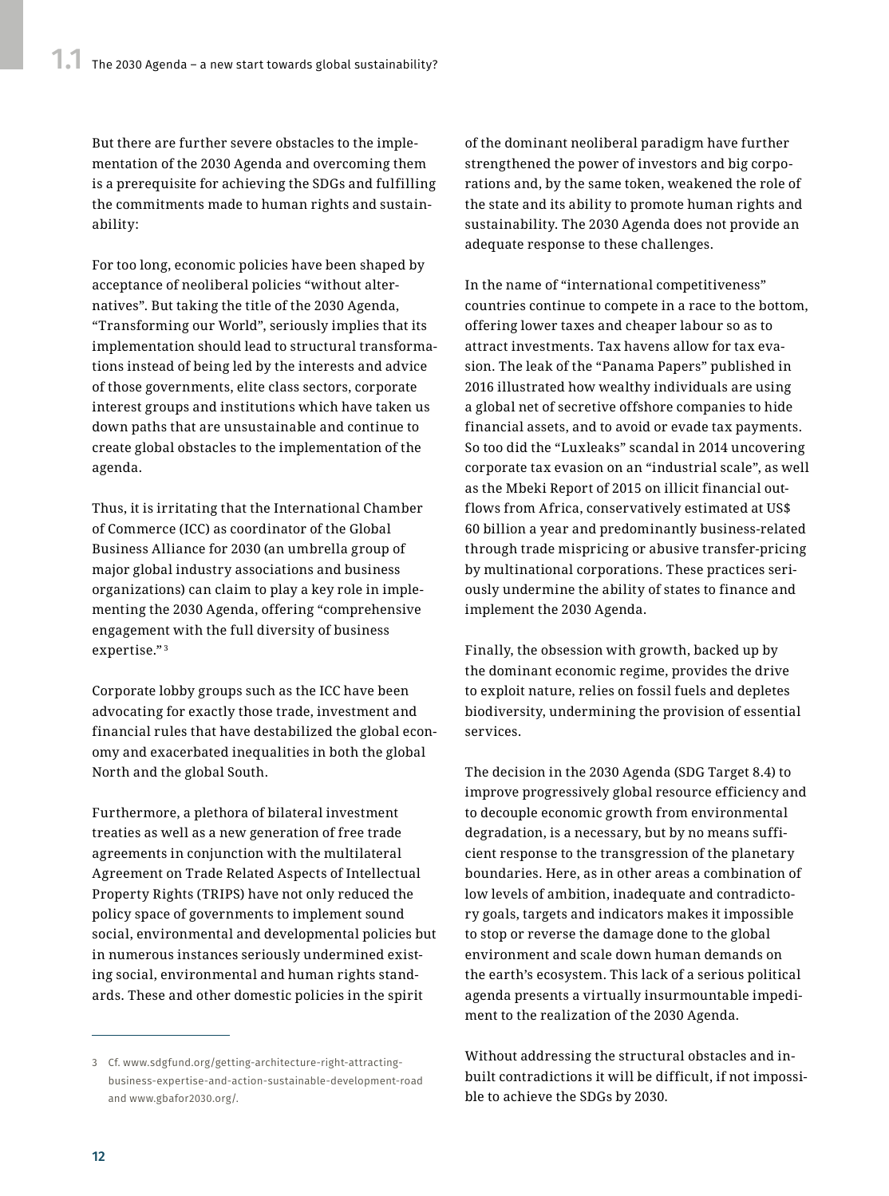But there are further severe obstacles to the implementation of the 2030 Agenda and overcoming them is a prerequisite for achieving the SDGs and fulfilling the commitments made to human rights and sustainability:

For too long, economic policies have been shaped by acceptance of neoliberal policies "without alternatives". But taking the title of the 2030 Agenda, "Transforming our World", seriously implies that its implementation should lead to structural transformations instead of being led by the interests and advice of those governments, elite class sectors, corporate interest groups and institutions which have taken us down paths that are unsustainable and continue to create global obstacles to the implementation of the agenda.

Thus, it is irritating that the International Chamber of Commerce (ICC) as coordinator of the Global Business Alliance for 2030 (an umbrella group of major global industry associations and business organizations) can claim to play a key role in implementing the 2030 Agenda, offering "comprehensive engagement with the full diversity of business expertise."<sup>3</sup>

Corporate lobby groups such as the ICC have been advocating for exactly those trade, investment and financial rules that have destabilized the global economy and exacerbated inequalities in both the global North and the global South.

Furthermore, a plethora of bilateral investment treaties as well as a new generation of free trade agreements in conjunction with the multilateral Agreement on Trade Related Aspects of Intellectual Property Rights (TRIPS) have not only reduced the policy space of governments to implement sound social, environmental and developmental policies but in numerous instances seriously undermined existing social, environmental and human rights standards. These and other domestic policies in the spirit

of the dominant neoliberal paradigm have further strengthened the power of investors and big corporations and, by the same token, weakened the role of the state and its ability to promote human rights and sustainability. The 2030 Agenda does not provide an adequate response to these challenges.

In the name of "international competitiveness" countries continue to compete in a race to the bottom, offering lower taxes and cheaper labour so as to attract investments. Tax havens allow for tax evasion. The leak of the "Panama Papers" published in 2016 illustrated how wealthy individuals are using a global net of secretive offshore companies to hide financial assets, and to avoid or evade tax payments. So too did the "Luxleaks" scandal in 2014 uncovering corporate tax evasion on an "industrial scale", as well as the Mbeki Report of 2015 on illicit financial outflows from Africa, conservatively estimated at US\$ 60 billion a year and predominantly business-related through trade mispricing or abusive transfer-pricing by multinational corporations. These practices seriously undermine the ability of states to finance and implement the 2030 Agenda.

Finally, the obsession with growth, backed up by the dominant economic regime, provides the drive to exploit nature, relies on fossil fuels and depletes biodiversity, undermining the provision of essential services.

The decision in the 2030 Agenda (SDG Target 8.4) to improve progressively global resource efficiency and to decouple economic growth from environmental degradation, is a necessary, but by no means sufficient response to the transgression of the planetary boundaries. Here, as in other areas a combination of low levels of ambition, inadequate and contradictory goals, targets and indicators makes it impossible to stop or reverse the damage done to the global environment and scale down human demands on the earth's ecosystem. This lack of a serious political agenda presents a virtually insurmountable impediment to the realization of the 2030 Agenda.

Without addressing the structural obstacles and inbuilt contradictions it will be difficult, if not impossible to achieve the SDGs by 2030.

<sup>3</sup> Cf. [www.sdgfund.org/getting-architecture-right-attracting](http://www.sdgfund.org/getting-architecture-right-attracting-business-expertise-and-action-sustainable-development-road)[business-expertise-and-action-sustainable-development-road](http://www.sdgfund.org/getting-architecture-right-attracting-business-expertise-and-action-sustainable-development-road) and [www.gbafor2030.org/](http://www.gbafor2030.org/).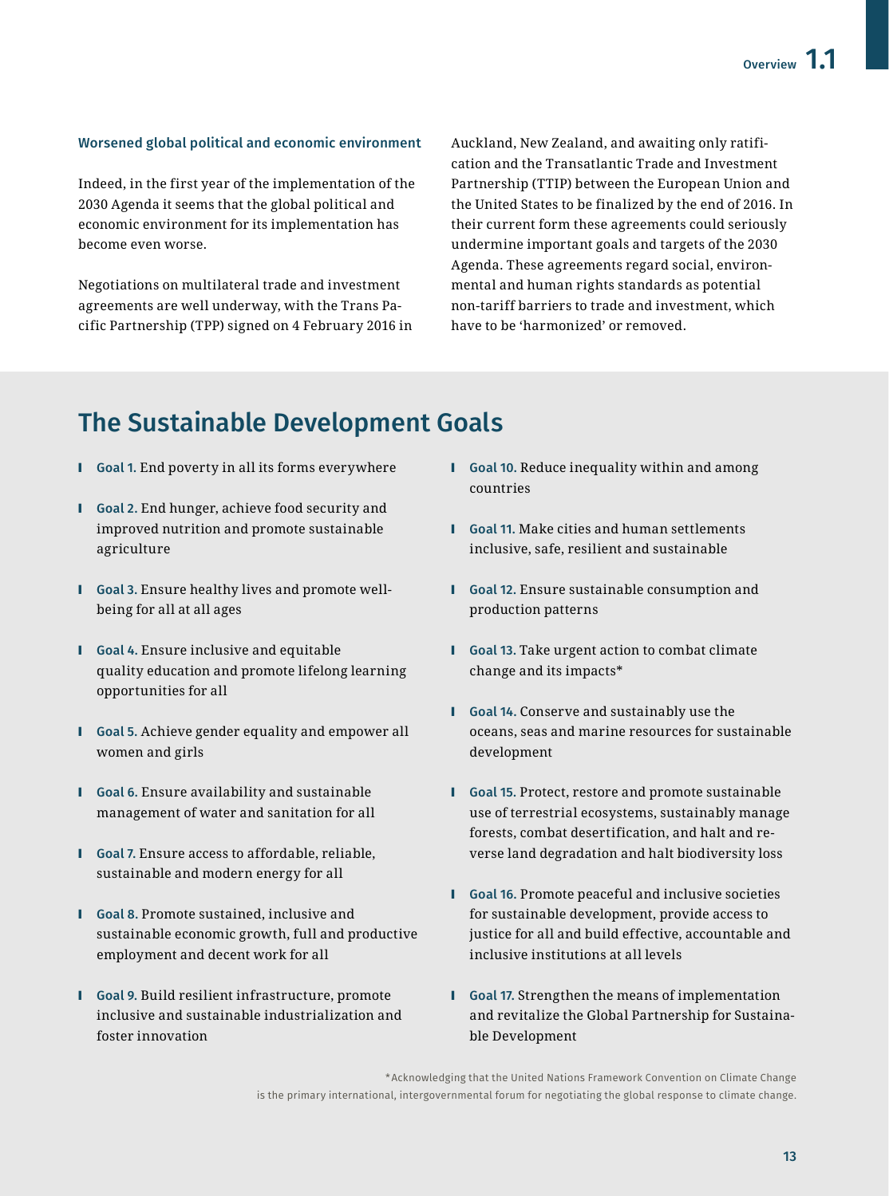### Worsened global political and economic environment

Indeed, in the first year of the implementation of the 2030 Agenda it seems that the global political and economic environment for its implementation has become even worse.

Negotiations on multilateral trade and investment agreements are well underway, with the Trans Pacific Partnership (TPP) signed on 4 February 2016 in Auckland, New Zealand, and awaiting only ratification and the Transatlantic Trade and Investment Partnership (TTIP) between the European Union and the United States to be finalized by the end of 2016. In their current form these agreements could seriously undermine important goals and targets of the 2030 Agenda. These agreements regard social, environmental and human rights standards as potential non-tariff barriers to trade and investment, which have to be 'harmonized' or removed.

# The Sustainable Development Goals

- ❙ Goal 1. End poverty in all its forms everywhere
- ❙ Goal 2. End hunger, achieve food security and improved nutrition and promote sustainable agriculture
- ❙ Goal 3. Ensure healthy lives and promote wellbeing for all at all ages
- ❙ Goal 4. Ensure inclusive and equitable quality education and promote lifelong learning opportunities for all
- ❙ Goal 5. Achieve gender equality and empower all women and girls
- ❙ Goal 6. Ensure availability and sustainable management of water and sanitation for all
- ❙ Goal 7. Ensure access to affordable, reliable, sustainable and modern energy for all
- ❙ Goal 8. Promote sustained, inclusive and sustainable economic growth, full and productive employment and decent work for all
- ❙ Goal 9. Build resilient infrastructure, promote inclusive and sustainable industrialization and foster innovation
- ❙ Goal 10. Reduce inequality within and among countries
- ❙ Goal 11. Make cities and human settlements inclusive, safe, resilient and sustainable
- ❙ Goal 12. Ensure sustainable consumption and production patterns
- ❙ Goal 13. Take urgent action to combat climate change and its impacts\*
- ❙ Goal 14. Conserve and sustainably use the oceans, seas and marine resources for sustainable development
- ❙ Goal 15. Protect, restore and promote sustainable use of terrestrial ecosystems, sustainably manage forests, combat desertification, and halt and reverse land degradation and halt biodiversity loss
- **I** Goal 16. Promote peaceful and inclusive societies for sustainable development, provide access to justice for all and build effective, accountable and inclusive institutions at all levels
- ❙ Goal 17. Strengthen the means of implementation and revitalize the Global Partnership for Sustainable Development

<sup>\*</sup>Acknowledging that the United Nations Framework Convention on Climate Change is the primary international, intergovernmental forum for negotiating the global response to climate change.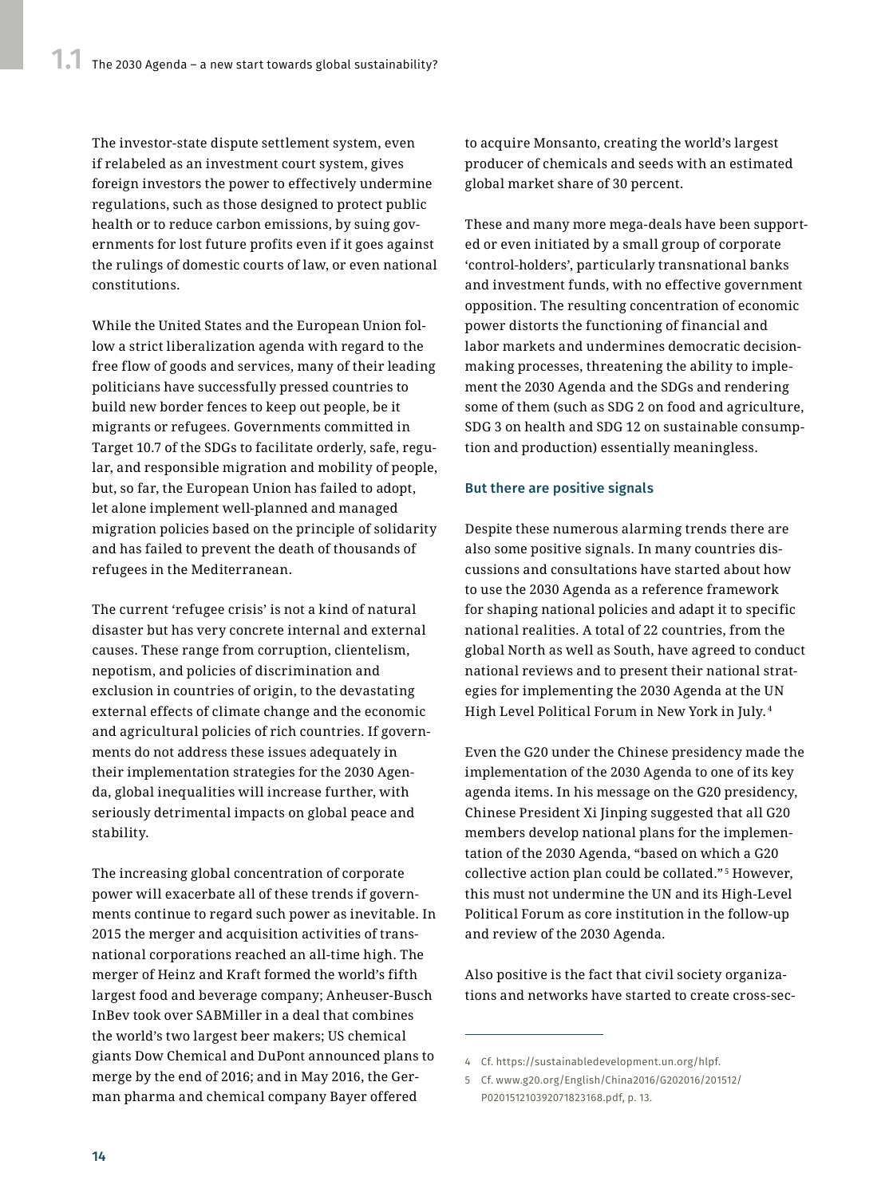The investor-state dispute settlement system, even if relabeled as an investment court system, gives foreign investors the power to effectively undermine regulations, such as those designed to protect public health or to reduce carbon emissions, by suing governments for lost future profits even if it goes against the rulings of domestic courts of law, or even national constitutions.

While the United States and the European Union follow a strict liberalization agenda with regard to the free flow of goods and services, many of their leading politicians have successfully pressed countries to build new border fences to keep out people, be it migrants or refugees. Governments committed in Target 10.7 of the SDGs to facilitate orderly, safe, regular, and responsible migration and mobility of people, but, so far, the European Union has failed to adopt, let alone implement well-planned and managed migration policies based on the principle of solidarity and has failed to prevent the death of thousands of refugees in the Mediterranean.

The current 'refugee crisis' is not a kind of natural disaster but has very concrete internal and external causes. These range from corruption, clientelism, nepotism, and policies of discrimination and exclusion in countries of origin, to the devastating external effects of climate change and the economic and agricultural policies of rich countries. If governments do not address these issues adequately in their implementation strategies for the 2030 Agenda, global inequalities will increase further, with seriously detrimental impacts on global peace and stability.

The increasing global concentration of corporate power will exacerbate all of these trends if governments continue to regard such power as inevitable. In 2015 the merger and acquisition activities of transnational corporations reached an all-time high. The merger of Heinz and Kraft formed the world's fifth largest food and beverage company; Anheuser-Busch InBev took over SABMiller in a deal that combines the world's two largest beer makers; US chemical giants Dow Chemical and DuPont announced plans to merge by the end of 2016; and in May 2016, the German pharma and chemical company Bayer offered

to acquire Monsanto, creating the world's largest producer of chemicals and seeds with an estimated global market share of 30 percent.

These and many more mega-deals have been supported or even initiated by a small group of corporate 'control-holders', particularly transnational banks and investment funds, with no effective government opposition. The resulting concentration of economic power distorts the functioning of financial and labor markets and undermines democratic decisionmaking processes, threatening the ability to implement the 2030 Agenda and the SDGs and rendering some of them (such as SDG 2 on food and agriculture, SDG 3 on health and SDG 12 on sustainable consumption and production) essentially meaningless.

## But there are positive signals

Despite these numerous alarming trends there are also some positive signals. In many countries discussions and consultations have started about how to use the 2030 Agenda as a reference framework for shaping national policies and adapt it to specific national realities. A total of 22 countries, from the global North as well as South, have agreed to conduct national reviews and to present their national strategies for implementing the 2030 Agenda at the UN High Level Political Forum in New York in July. <sup>4</sup>

Even the G20 under the Chinese presidency made the implementation of the 2030 Agenda to one of its key agenda items. In his message on the G20 presidency, Chinese President Xi Jinping suggested that all G20 members develop national plans for the implementation of the 2030 Agenda, "based on which a G20 collective action plan could be collated." <sup>5</sup> However, this must not undermine the UN and its High-Level Political Forum as core institution in the follow-up and review of the 2030 Agenda.

Also positive is the fact that civil society organizations and networks have started to create cross-sec-

<sup>4</sup> Cf.<https://sustainabledevelopment.un.org/hlpf>.

<sup>5</sup> Cf. [www.g20.org/English/China2016/G202016/201512/](http://www.g20.org/English/China2016/G202016/201512/P020151210392071823168.pdf) [P020151210392071823168.pdf](http://www.g20.org/English/China2016/G202016/201512/P020151210392071823168.pdf), p. 13.